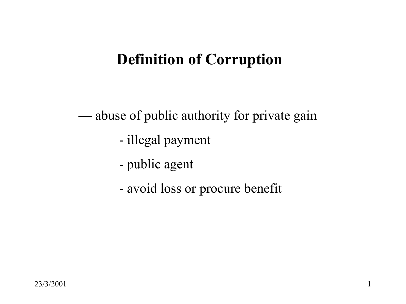# Definition of Corruption

— abuse of public authority for private gain

- illegal payment
- public agent
- avoid loss or procure benefit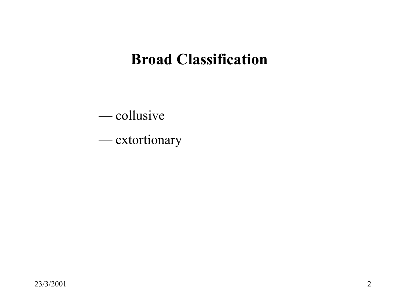#### Broad Classification

— collusive

— extortionary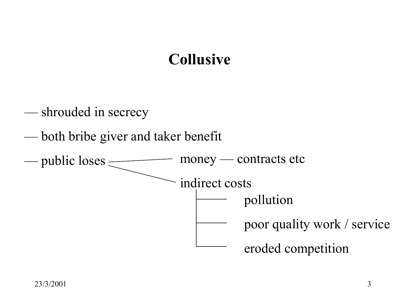# Collusive

- shrouded in secrecy
- both bribe giver and taker benefit

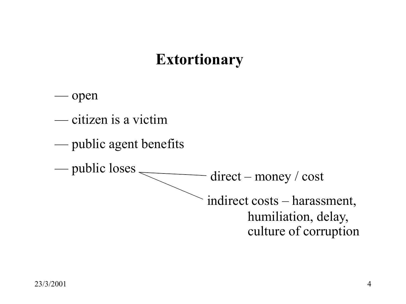# **Extortionary**

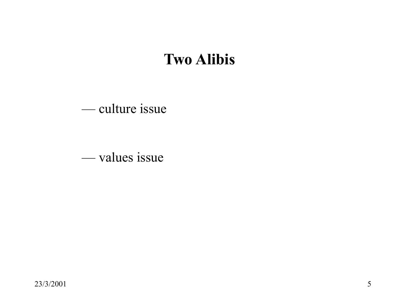### Two Alibis

— culture issue

— values issue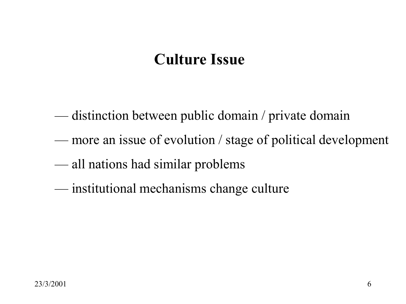# Culture Issue

- distinction between public domain / private domain
- more an issue of evolution / stage of political development
- all nations had similar problems
- institutional mechanisms change culture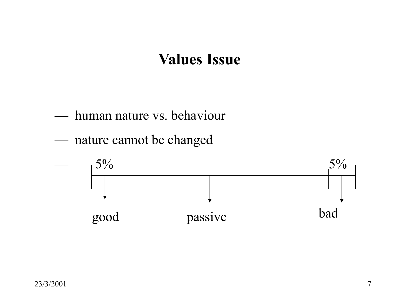#### Values Issue

- human nature vs. behaviour
- nature cannot be changed

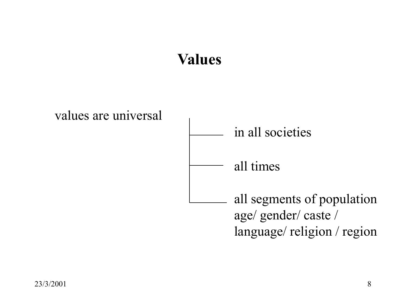### Values





all times

all segments of population age/ gender/ caste / language/ religion / region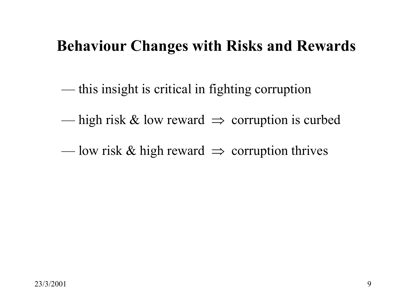## Behaviour Changes with Risks and Rewards

- this insight is critical in fighting corruption
- high risk & low reward  $\Rightarrow$  corruption is curbed
- low risk & high reward  $\Rightarrow$  corruption thrives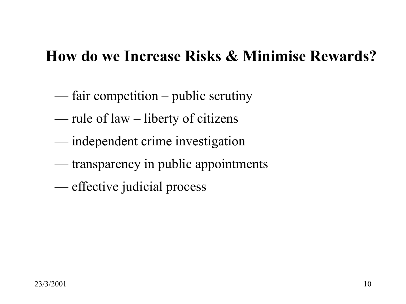### How do we Increase Risks & Minimise Rewards?

- fair competition public scrutiny
- rule of law liberty of citizens
- independent crime investigation
- transparency in public appointments
- effective judicial process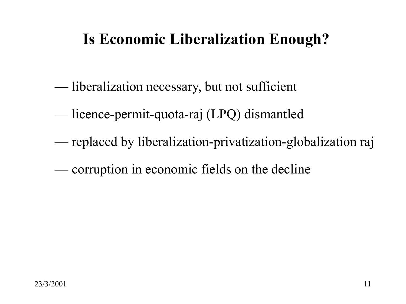# Is Economic Liberalization Enough?

- liberalization necessary, but not sufficient
- licence-permit-quota-raj (LPQ) dismantled
- replaced by liberalization-privatization-globalization raj
- corruption in economic fields on the decline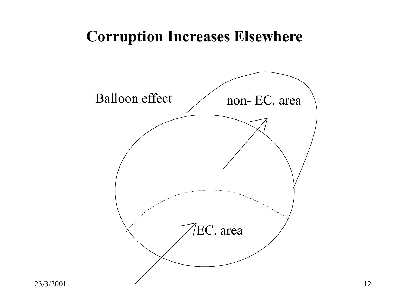## Corruption Increases Elsewhere

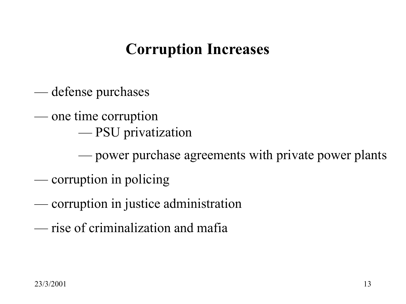# Corruption Increases

- defense purchases
- one time corruption
	- PSU privatization
	- power purchase agreements with private power plants
- corruption in policing
- corruption in justice administration
- rise of criminalization and mafia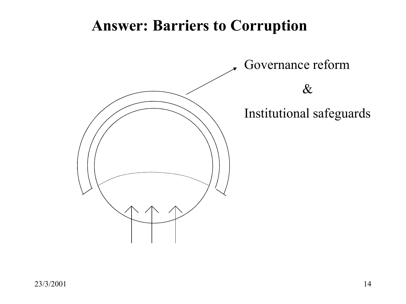#### Answer: Barriers to Corruption

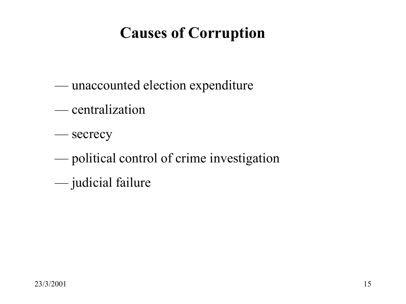# Causes of Corruption

- unaccounted election expenditure
- centralization
- secrecy
- political control of crime investigation
- judicial failure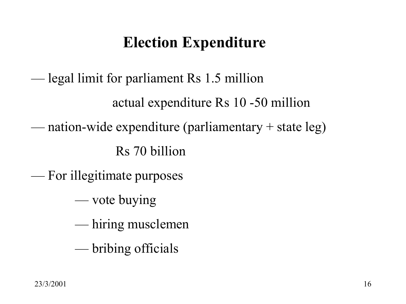# Election Expenditure

— legal limit for parliament Rs 1.5 million

actual expenditure Rs 10 -50 million

— nation-wide expenditure (parliamentary  $+$  state leg)

Rs 70 billion

— For illegitimate purposes

— vote buying

— hiring musclemen

— bribing officials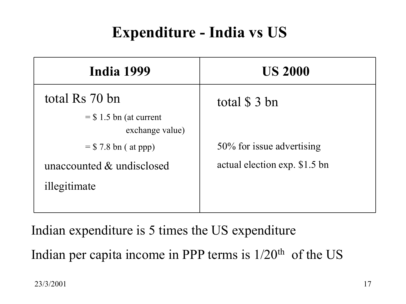# Expenditure - India vs US

| India 1999                                   | <b>US 2000</b>                |
|----------------------------------------------|-------------------------------|
| total Rs 70 bn                               | total \$ 3 bn                 |
| $=$ \$ 1.5 bn (at current<br>exchange value) |                               |
| $=$ \$ 7.8 bn ( at ppp)                      | 50% for issue advertising     |
| unaccounted & undisclosed                    | actual election exp. \$1.5 bn |
| illegitimate                                 |                               |
|                                              |                               |

Indian expenditure is 5 times the US expenditure Indian per capita income in PPP terms is  $1/20<sup>th</sup>$  of the US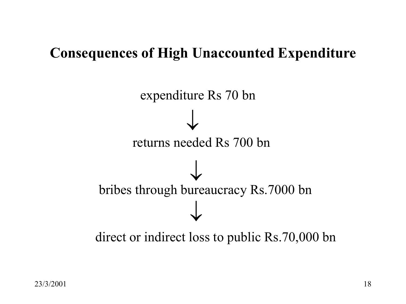#### Consequences of High Unaccounted Expenditure

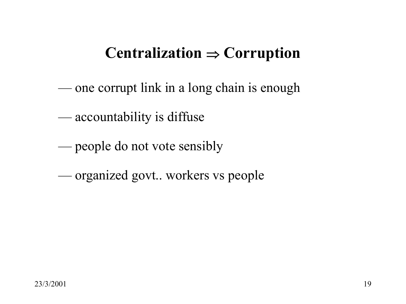### **Centralization**  $\Rightarrow$  **Corruption**

- one corrupt link in a long chain is enough
- accountability is diffuse
- people do not vote sensibly
- organized govt.. workers vs people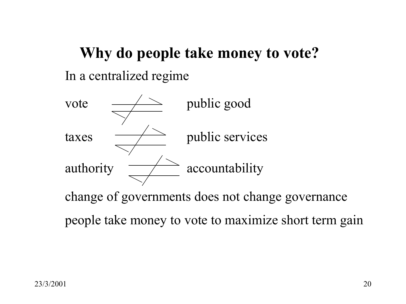# Why do people take money to vote? In a centralized regime



change of governments does not change governance

people take money to vote to maximize short term gain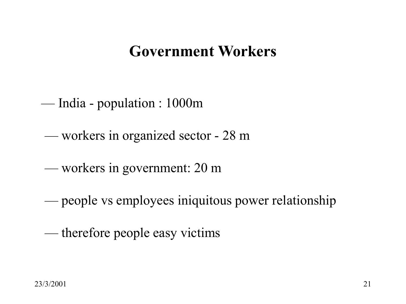#### Government Workers

- India population : 1000m
- workers in organized sector 28 m
- workers in government: 20 m
- people vs employees iniquitous power relationship
- therefore people easy victims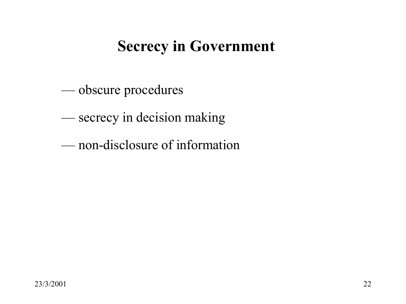# Secrecy in Government

- obscure procedures
- secrecy in decision making
- non-disclosure of information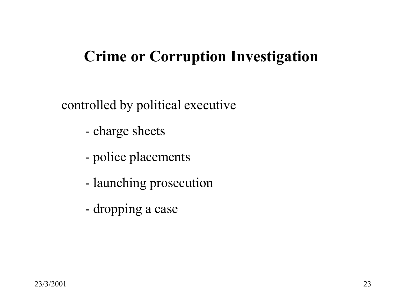# Crime or Corruption Investigation

- controlled by political executive
	- charge sheets
	- police placements
	- launching prosecution
	- dropping a case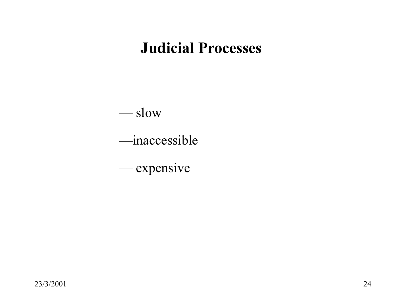#### Judicial Processes

— slow

—inaccessible

— expensive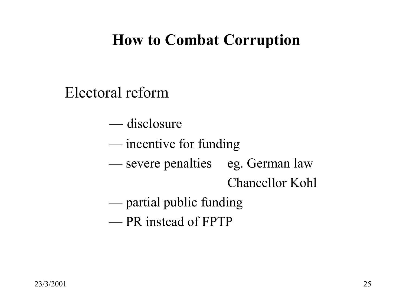# How to Combat Corruption

Electoral reform

— disclosure

— incentive for funding

— severe penalties eg. German law

Chancellor Kohl

— partial public funding

— PR instead of FPTP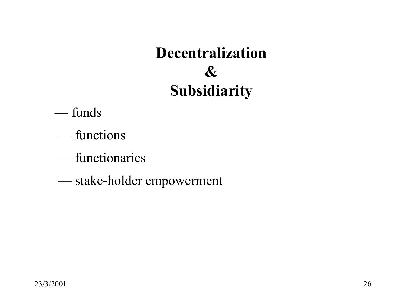# Decentralization & Subsidiarity

- funds
- functions
- functionaries
- stake-holder empowerment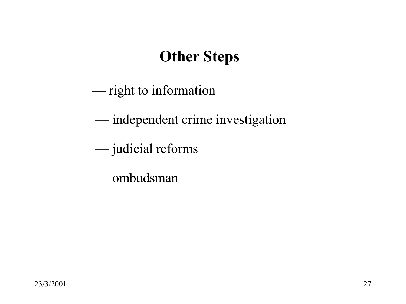# Other Steps

- right to information
- independent crime investigation
- judicial reforms
- ombudsman